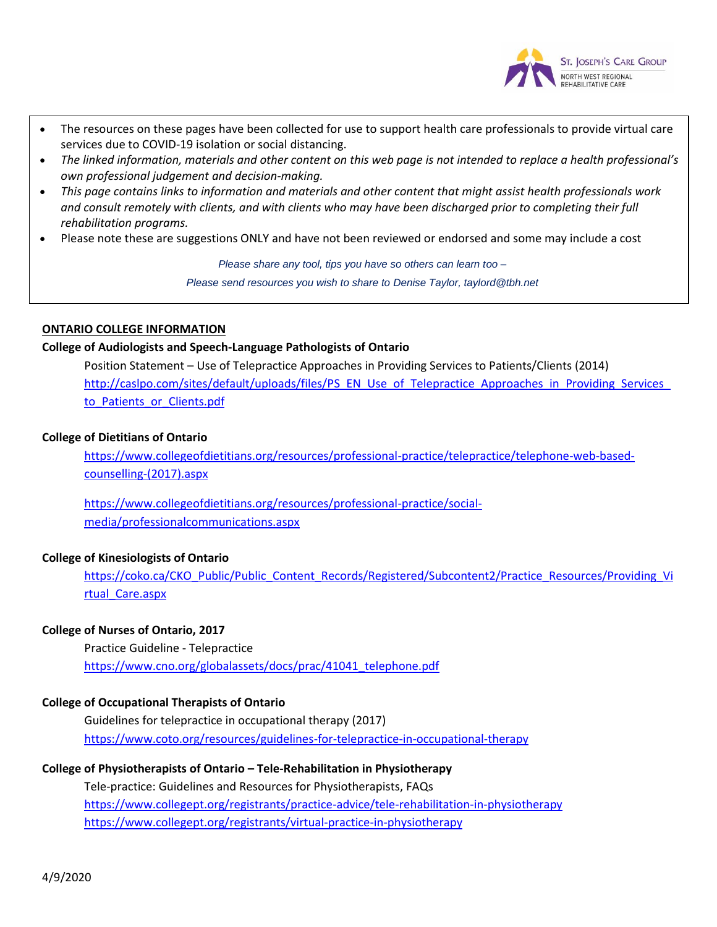

- The resources on these pages have been collected for use to support health care professionals to provide virtual care services due to COVID-19 isolation or social distancing.
- The linked information, materials and other content on this web page is not intended to replace a health professional's *own professional judgement and decision-making.*
- This page contains links to information and materials and other content that might assist health professionals work and consult remotely with clients, and with clients who may have been discharged prior to completing their full *rehabilitation programs.*
- Please note these are suggestions ONLY and have not been reviewed or endorsed and some may include a cost

*Please share any tool, tips you have so others can learn too –*

*Please send resources you wish to share to Denise Taylor, taylord@tbh.net*

## **ONTARIO COLLEGE INFORMATION**

## **College of Audiologists and Speech-Language Pathologists of Ontario**

Position Statement – Use of Telepractice Approaches in Providing Services to Patients/Clients (2014) http://caslpo.com/sites/default/uploads/files/PS\_EN\_Use\_of\_Telepractice\_Approaches\_in\_Providing\_Services to Patients or Clients.pdf

## **College of Dietitians of Ontario**

[https://www.collegeofdietitians.org/resources/professional-practice/telepractice/telephone-web-based](https://www.collegeofdietitians.org/resources/professional-practice/telepractice/telephone-web-based-counselling-(2017).aspx)[counselling-\(2017\).aspx](https://www.collegeofdietitians.org/resources/professional-practice/telepractice/telephone-web-based-counselling-(2017).aspx)

[https://www.collegeofdietitians.org/resources/professional-practice/social](https://www.collegeofdietitians.org/resources/professional-practice/social-media/professionalcommunications.aspx)[media/professionalcommunications.aspx](https://www.collegeofdietitians.org/resources/professional-practice/social-media/professionalcommunications.aspx)

# **College of Kinesiologists of Ontario**

[https://coko.ca/CKO\\_Public/Public\\_Content\\_Records/Registered/Subcontent2/Practice\\_Resources/Providing\\_Vi](https://coko.ca/CKO_Public/Public_Content_Records/Registered/Subcontent2/Practice_Resources/Providing_Virtual_Care.aspx) [rtual\\_Care.aspx](https://coko.ca/CKO_Public/Public_Content_Records/Registered/Subcontent2/Practice_Resources/Providing_Virtual_Care.aspx)

# **College of Nurses of Ontario, 2017**

Practice Guideline - Telepractice [https://www.cno.org/globalassets/docs/prac/41041\\_telephone.pdf](https://www.cno.org/globalassets/docs/prac/41041_telephone.pdf)

# **College of Occupational Therapists of Ontario**

Guidelines for telepractice in occupational therapy (2017) <https://www.coto.org/resources/guidelines-for-telepractice-in-occupational-therapy>

#### **College of Physiotherapists of Ontario – Tele-Rehabilitation in Physiotherapy**

Tele-practice: Guidelines and Resources for Physiotherapists, FAQs <https://www.collegept.org/registrants/practice-advice/tele-rehabilitation-in-physiotherapy> <https://www.collegept.org/registrants/virtual-practice-in-physiotherapy>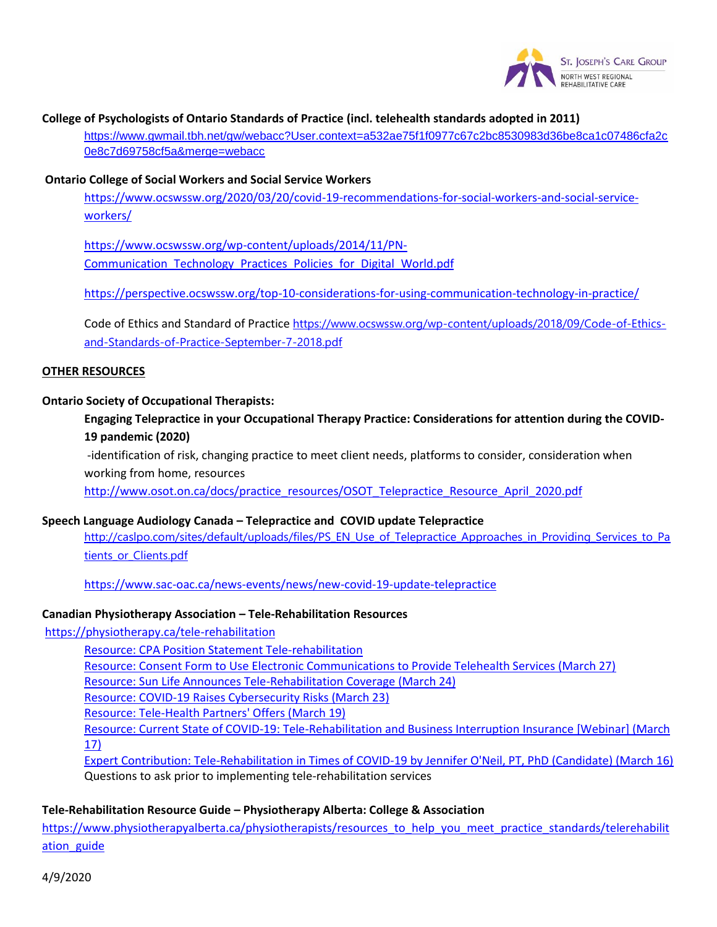

#### **[College of Psychologists of Ontario Standards of Practice \(incl. telehealth standards adopted in 2011\)](https://www.gwmail.tbh.net/gw/webacc?User.context=a532ae75f1f0977c67c2bc8530983d36be8ca1c07486cfa2c0e8c7d69758cf5a&merge=webacc)**

[https://www.gwmail.tbh.net/gw/weba](https://www.gwmail.tbh.net/gw/webacc?User.context=a532ae75f1f0977c67c2bc8530983d36be8ca1c07486cfa2c0e8c7d69758cf5a&merge=webacc)cc?User.context=a532ae75f1f0977c67c2bc8530983d36be8ca1c07486cfa2c 0e8c7d69758cf5a&merge=webacc

#### **[Ontario College of Social Workers and Social Service Workers](https://www.ocswssw.org/2020/03/20/covid-19-recommendations-for-social-workers-and-social-service-workers/)**

[https://ww](https://www.ocswssw.org/2020/03/20/covid-19-recommendations-for-social-workers-and-social-service-workers/)w.ocswssw.org/2020/03/20/covid-19-recommendations-for-social-workers-and-social-service[workers/](https://www.ocswssw.org/wp-content/uploads/2014/11/PN-Communication_Technology_Practices_Policies_for_Digital_World.pdf)

[https://www.ocswssw.org/wp-content/uploads/2014/11/PN-](https://www.ocswssw.org/wp-content/uploads/2014/11/PN-Communication_Technology_Practices_Policies_for_Digital_World.pdf)Communication\_Technology\_Practices\_Policies\_for\_Digital\_World.pdf

<https://perspective.ocswssw.org/top-10-considerations-for-using-communication-technology-in-practice/>

[Code of Ethics and Standard of Practice](https://www.ocswssw.org/wp-content/uploads/2018/09/Code-of-Ethics-and-Standards-of-Practice-September-7-2018.pdf) https://www.ocswssw.org/wp-content/uploads/2018/09/Code-of-Ethicsand-Standards-of-Practice-September-7-2018.pdf

## **OTHER RESOURCES**

#### **Ontario Society of Occupational Therapists:**

**Engaging Telepractice in your Occupational Therapy Practice: Considerations for attention during the COVID-19 pandemic (2020)**

-identification of risk, changing practice to meet client needs, platforms to consider, consideration when working from home, resources

[http://www.osot.on.ca/docs/practice\\_resources/OSOT\\_Telepractice\\_Resource\\_April\\_2020.pdf](http://www.osot.on.ca/docs/practice_resources/OSOT_Telepractice_Resource_April_2020.pdf)

#### **Speech Language Audiology Canada – [Telepractice and COVID update Telepractice](http://caslpo.com/sites/default/uploads/files/PS_EN_Use_of_Telepractice_Approaches_in_Providing_Services_to_Patients_or_Clients.pdf)**

[http://caslpo.com/sit](http://caslpo.com/sites/default/uploads/files/PS_EN_Use_of_Telepractice_Approaches_in_Providing_Services_to_Patients_or_Clients.pdf)es/default/uploads/files/PS\_EN\_Use\_of\_Telepractice\_Approaches\_in\_Providing\_Services\_to\_Pa tients or Clients.pdf

<https://www.sac-oac.ca/news-events/news/new-covid-19-update-telepractice>

## **[Canadian Physiotherapy Association](https://physiotherapy.ca/tele-rehabilitation) – Tele-Rehabilitation Resources**

https:/[/physiotherapy.ca/tele-rehabilitation](https://physiotherapy.ca/cpas-position-tele-rehabilitation)

[Resource: CPA Position Statement Tele-rehabilitation](https://physiotherapy.ca/sites/default/files/covid-19_telehealth_consent_form_cpa.pdf) [Resource: Consent Form to Use Electronic Communications to Provide T](https://physiotherapy.ca/sun-life-announces-tele-rehabilitation-coverage)elehealth Services (March 27) [Resource: Sun Life Announces Tele-Rehabilitation Coverage](https://physiotherapy.ca/sites/default/files/covid-19_raises_cybersecurity_risks.pdf) (March 24) [Resource: COVID-19 Raises Cybersecurity Risks \(Ma](https://physiotherapy.ca/tele-health-partners-offers)rch 23) [Resource: Tele-Health Partners' Offers \(March 19\)](https://physiotherapy.ca/current-state-covid-19-tele-rehabilitation-and-business-interruption-insurance-march-17) [Reso](https://physiotherapy.ca/current-state-covid-19-tele-rehabilitation-and-business-interruption-insurance-march-17)[urce: Current State of COVID-19: Tele-Rehabilitation and Business Interruption Insurance \[Webinar\] \(March](https://physiotherapy.ca/times-covid-19)  17) Expert Contribution: Tele-Rehabilitation in Times of COVID-19 by Jennifer O'Neil, PT, PhD (Candidate) (March 16) Questions to ask prior to implementing tele-rehabilitation services

#### **Tele-Rehabilitation Resource Guide – [Physiotherapy Alberta: College & Association](https://www.physiotherapyalberta.ca/physiotherapists/resources_to_help_you_meet_practice_standards/telerehabilitation_guide)**

[https://www](https://www.physiotherapyalberta.ca/physiotherapists/resources_to_help_you_meet_practice_standards/telerehabilitation_guide).physiotherapyalberta.ca/physiotherapists/resources\_to\_help\_you\_meet\_practice\_standards/telerehabilit ation guide

4/9/2020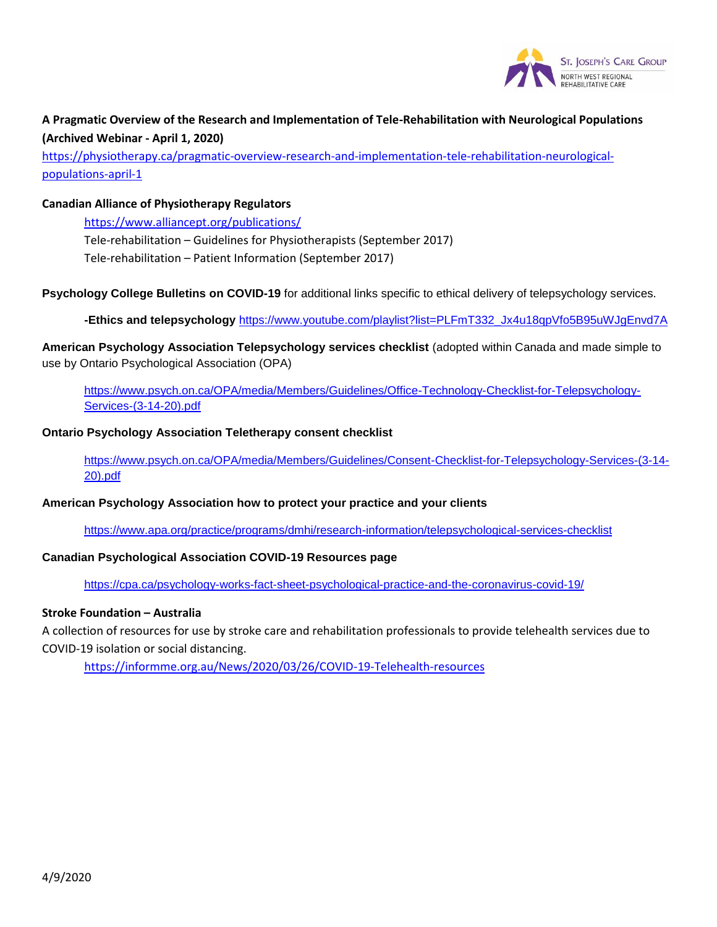

# **A Pragmatic Overview of the Research and Implementation of Tele-Rehabilitation with Neurological Populations [\(Archived Webinar -](https://physiotherapy.ca/pragmatic-overview-research-and-implementation-tele-rehabilitation-neurological-populations-april-1) April 1, 2020)**

[https://physiotherap](https://physiotherapy.ca/pragmatic-overview-research-and-implementation-tele-rehabilitation-neurological-populations-april-1)y.ca/pragmatic-overview-research-and-implementation-tele-rehabilitation-neurologicalpopulations-april-1

## **Canadi[an Alliance of Physiotherapy Regulators](https://www.alliancept.org/publications/)**

https://www.alliancept.org/publications/ Tele-rehabilitation – Guidelines for Physiotherapists (September 2017) Tele-rehabilitation – Patient Information (September 2017)

**Psychology College Bulletins on COVID-19** for additional links specific to ethical delivery of telepsychology services.

**-Ethics and telepsychology** [https://www.youtube.com/playlist?list=PLFmT332\\_Jx4u18qpVfo5B95uWJgEnvd7A](https://www.youtube.com/playlist?list=PLFmT332_Jx4u18qpVfo5B95uWJgEnvd7A)

**American Psychology Association Telepsychology services checklist** (adopted within Canada and made simple to [use by Ontario Psychological Association \(OPA\)](https://www.psych.on.ca/OPA/media/Members/Guidelines/Office-Technology-Checklist-for-Telepsychology-Services-(3-14-20).pdf)

[https://www.psych.on.c](https://www.psych.on.ca/OPA/media/Members/Guidelines/Office-Technology-Checklist-for-Telepsychology-Services-(3-14-20).pdf)a/OPA/media/Members/Guidelines/Office-Technology-Checklist-for-Telepsychology-Services-(3-14-20).pdf

#### **[Ontario Psychology Association](https://www.psych.on.ca/OPA/media/Members/Guidelines/Consent-Checklist-for-Telepsychology-Services-(3-14-20).pdf) Teletherapy consent checklist**

[https://w](https://www.psych.on.ca/OPA/media/Members/Guidelines/Consent-Checklist-for-Telepsychology-Services-(3-14-20).pdf)ww.psych.on.ca/OPA/media/Members/Guidelines/Consent-Checklist-for-Telepsychology-Services-(3-14- 20).pdf

#### **American Psychology Association how to protect your practice and your clients**

<https://www.apa.org/practice/programs/dmhi/research-information/telepsychological-services-checklist>

# **Canadian Psychological Association COVID-19 Resources page**

<https://cpa.ca/psychology-works-fact-sheet-psychological-practice-and-the-coronavirus-covid-19/>

## **Stroke Foundation – Australia**

A collection of resources for use by stroke care and rehabilitation professionals to provide telehealth services due to COVID-[19 isolation or social distancing.](https://informme.org.au/News/2020/03/26/COVID-19-Telehealth-resources)

https://informme.org.au/News/2020/03/26/COVID-19-Telehealth-resources